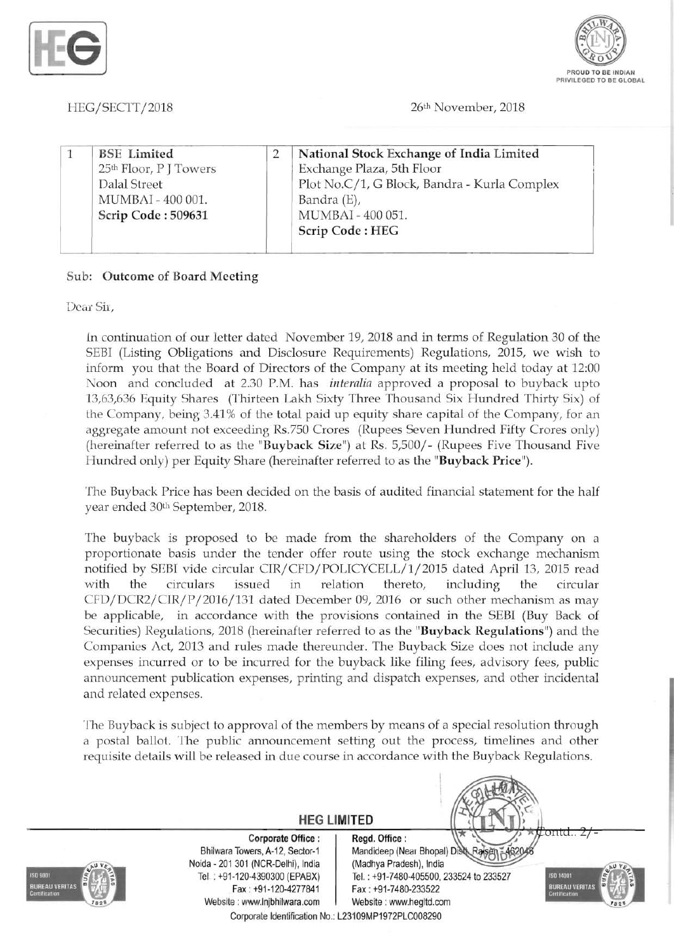



HEG/SECTT/2018 26th November, 2018

| <b>BSE</b> Limited                 | National Stock Exchange of India Limited     |
|------------------------------------|----------------------------------------------|
| 25 <sup>th</sup> Floor, P J Towers | Exchange Plaza, 5th Floor                    |
| Dalal Street                       | Plot No.C/1, G Block, Bandra - Kurla Complex |
| MUMBAI - 400 001.                  | Bandra (E),                                  |
| Scrip Code: 509631                 | MUMBAI - 400 051.                            |
|                                    | Scrip Code: HEG                              |

#### Sub: Outcome of Board Meeting

Dear Sir,

in continuation of our letter dated November 19, 2018 and in terms of Regulation 30 of the SEBI (Listing Obligations and Disclosure Requirements) Regulations, 2015, we wish to inform you that the Board of Directors of the Company at its meeting held today at 12:00 Noon and concluded at 2.30 P.M. has *interalia* approved a proposal to buyback upto 13,63,636 Equity Shares (Thirteen Lakh Sixty Three Thousand Six Hundred Thirty Six) of the Company, being 3.41 % of the total paid up equity share capital of the Company, for an aggregate amount not exceeding Rs.750 Crores (Rupees Seven Hundred Fifty Crores only) (hereinafter referred to as the "Buyback Size") at Rs. 5,500/- (Rupees Five Thousand Five Hundred only) per Equity Share (hereinafter referred to as the "Buyback Price").

The Buyback Price has been decided on the basis of audited financial statement for the half year ended 30th September, 2018.

The buyback is proposed to be made from the shareholders of the Company on a proportionate basis under the tender offer route using the stock exchange mechanism notified by SEBI vide circular CIR/CFD/POLICYCELL/1/2015 dated April 13, 2015 read with the circulars issued in relation thereto, including the circular CFD/DCR2/CIR/P/2016/131 dated December 09, 2016 or such other mechanism as may be applicable, in accordance with the provisions contained in the SEBI (Buy Back of Securities) Regulations, 2018 (hereinafter referred to as the "Buyback Regulations") and the Companies Act, 2013 and rules made thereunder. The Buyback Size does not include any expenses incurred or to be incurred for the buyback like filing fees, advisory fees, public announcement publication expenses, printing and dispatch expenses, and other incidental and related expenses.

The Buyback is subject to approval of the members by means of a special resolution through a postal ballot. The public announcement setting out the process, timelines and other requisite details will be released in due course in accordance with the Buyback Regulations.



Corporate Identification No.: L23109MP1972PLC008290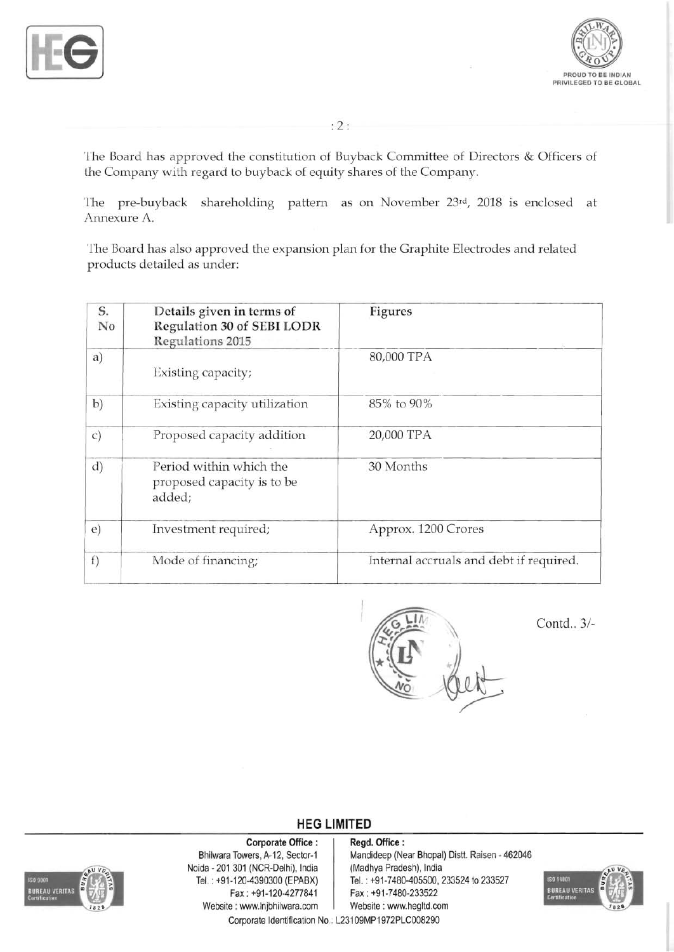



: 2:

The Board has approved the constitution of Buyback Committee of Directors & Officers of the Company with regard to buyback of equity shares of the Company.

The pre-buyback shareholding pattern as on November 23rd, 2018 is enclosed at Annexure A.

The Board has also approved the expansion plan for the Graphite Electrodes and related products detailed as under:

| S.<br>No      | Details given in terms of<br>Regulation 30 of SEBI LODR<br><b>Regulations 2015</b> | <b>Figures</b><br>80,000 TPA<br>85% to 90% |  |  |
|---------------|------------------------------------------------------------------------------------|--------------------------------------------|--|--|
| a)            | Existing capacity;                                                                 |                                            |  |  |
| b)            | Existing capacity utilization                                                      |                                            |  |  |
| $\mathcal{C}$ | Proposed capacity addition                                                         | 20,000 TPA                                 |  |  |
| d)            | Period within which the<br>proposed capacity is to be<br>added;                    | 30 Months                                  |  |  |
| $\epsilon)$   | Investment required;                                                               | Approx. 1200 Crores                        |  |  |
| f)            | Mode of financing;                                                                 | Internal accruals and debt if required.    |  |  |



Contd.. 3/

## **HEG LIMITED**



Corporate Office : <br>
Bhilwara Towers, A-12, Sector-1 Mandideep (Ne Noida - 201 301 (NCR-Delhi), India (Madhya Pradesh), India Fax: +91-120-4277841 Fax: +91-7480-233522 Website : www.lnjbhilwara.com | Website : www.hegltd.com

Mandideep (Near Bhopal) Distt. Raisen - 462046 TeL : +91-120-4390300 (EPABX) Tel. : +91-7480-405500, 233524 to 233527



Corporate Identification No . L23109MP1972PLC008290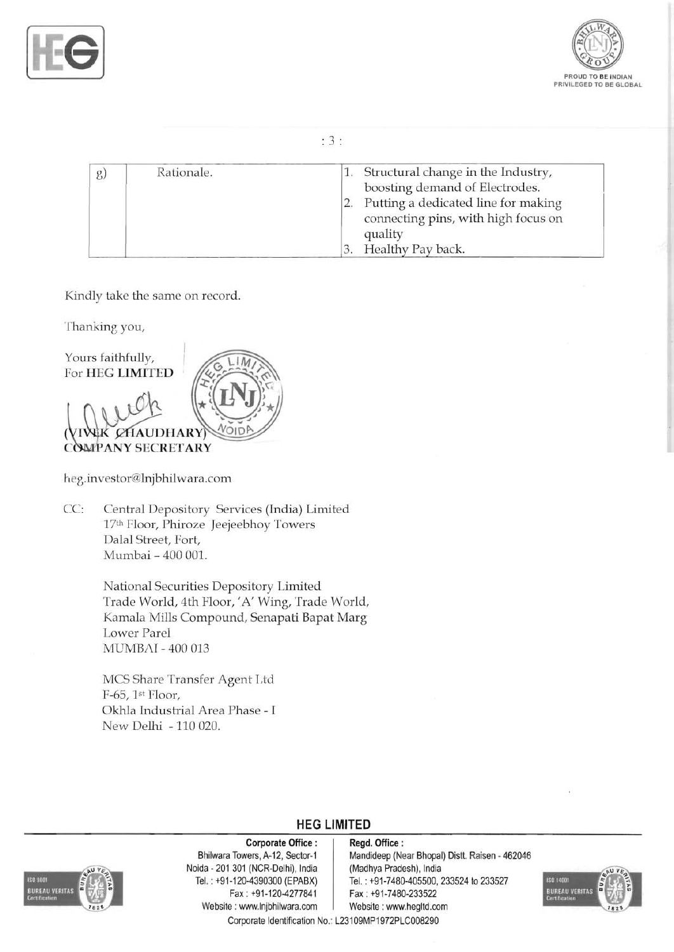



### : 3 :

| $\mathfrak{g}$ | Rationale. | 1. Structural change in the Industry,<br>boosting demand of Electrodes.               |
|----------------|------------|---------------------------------------------------------------------------------------|
|                |            | Putting a dedicated line for making<br>connecting pins, with high focus on<br>quality |
|                |            | 3. Healthy Pay back.                                                                  |

Kindly take the same on record.

Thanking you,



heg.investor@lnjbhilwara.com

CC: Central Depository Services (India) Limited 17th Floor, Phiroze Jeejeebhoy Towers Dalal Street, Fort, Mumbai - 400 001.

> National Securities Depository I.imited Trade World, 4th Floor, 'A' Wing, Trade World, Kamala Mills Compound, Senapati Bapat Marg Lower Parel MUMBAI - 400 013

MCS Share Transfer Agent Ltd F-65, 1st Floor, Okhla Industrial Area Phase - I New Delhi -110020.



Noida - 201 301 (NCR-Delhi), India (Madhya Pradesh), India<br>Tel.: +91-120-4390300 (EPABX) Tel.: +91-7480-405500, 2 Fax : +91-120-4277841 Fax: +91-7480-233522 Website : www.lnjbhilwara.com | Website : www.hegltd.com

## **HEG LIMITED**

#### Corporate Office : | Regd. Office :

Bhilwara Towers, A-12, Sector-1 | Mandideep (Near Bhopal) Distt. Raisen - 462046 Tel.: +91-7480-405500, 233524 to 233527



Corporate Identification No.: L23109MP1972PLC008290